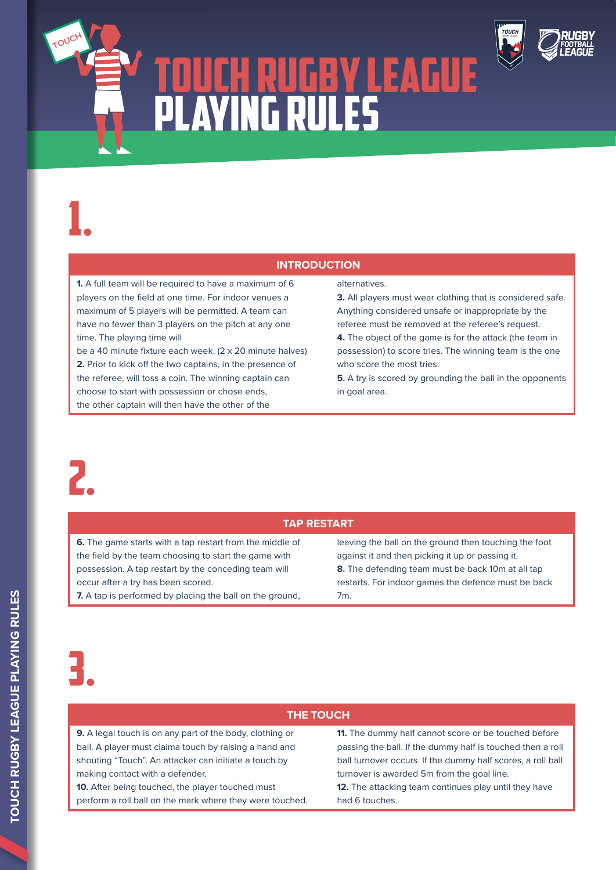# TOUCH RUGBY LEAGUE PLAYING RULES



### **INTRODUCTION**

**1.** A full team will be required to have a maximum of 6 players on the field at one time. For indoor venues a maximum of 5 players will be permitted. A team can have no fewer than 3 players on the pitch at any one time. The playing time will

be a 40 minute fixture each week. (2 x 20 minute halves) **2.** Prior to kick off the two captains, in the presence of the referee, will toss a coin. The winning captain can choose to start with possession or chose ends, the other captain will then have the other of the

#### alternatives.

**3.** All players must wear clothing that is considered safe. Anything considered unsafe or inappropriate by the referee must be removed at the referee's request.

**4.** The object of the game is for the attack (the team in possession) to score tries. The winning team is the one who score the most tries.

**5.** A try is scored by grounding the ball in the opponents in goal area.



1.

**TOUCH**

#### **TAP RESTART**

**6.** The game starts with a tap restart from the middle of the field by the team choosing to start the game with possession. A tap restart by the conceding team will occur after a try has been scored.

**7.** A tap is performed by placing the ball on the ground,

leaving the ball on the ground then touching the foot against it and then picking it up or passing it. **8.** The defending team must be back 10m at all tap restarts. For indoor games the defence must be back 7m.

# 3.

#### **THE TOUCH**

**9.** A legal touch is on any part of the body, clothing or ball. A player must claima touch by raising a hand and shouting "Touch". An attacker can initiate a touch by making contact with a defender.

**10.** After being touched, the player touched must perform a roll ball on the mark where they were touched. **11.** The dummy half cannot score or be touched before passing the ball. If the dummy half is touched then a roll ball turnover occurs. If the dummy half scores, a roll ball turnover is awarded 5m from the goal line.

12. The attacking team continues play until they have had 6 touches.